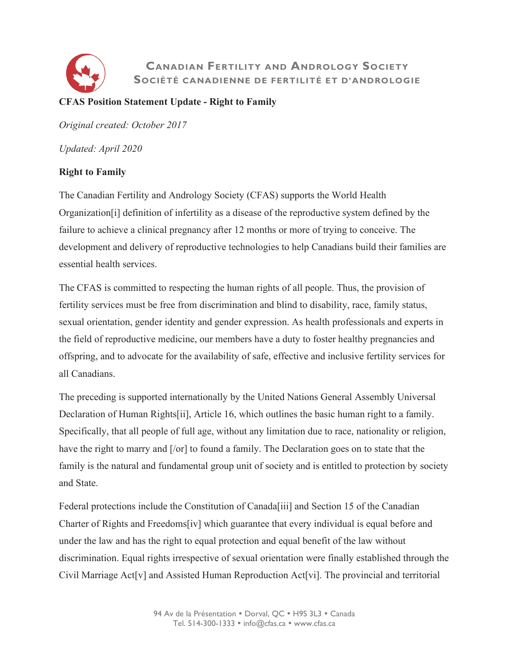

## **CANADIAN FERTILITY AND ANDROLOGY SOCIETY SOCIÉTÉ CANADIENNE DE FERTILITÉ ET D'ANDROLOGIE**

### **CFAS Position Statement Update - Right to Family**

*Original created: October 2017*

*Updated: April 2020*

### **Right to Family**

The Canadian Fertility and Andrology Society (CFAS) supports the World Health Organization[i] definition of infertility as a disease of the reproductive system defined by the failure to achieve a clinical pregnancy after 12 months or more of trying to conceive. The development and delivery of reproductive technologies to help Canadians build their families are essential health services.

The CFAS is committed to respecting the human rights of all people. Thus, the provision of fertility services must be free from discrimination and blind to disability, race, family status, sexual orientation, gender identity and gender expression. As health professionals and experts in the field of reproductive medicine, our members have a duty to foster healthy pregnancies and offspring, and to advocate for the availability of safe, effective and inclusive fertility services for all Canadians.

The preceding is supported internationally by the United Nations General Assembly Universal Declaration of Human Rights[ii], Article 16, which outlines the basic human right to a family. Specifically, that all people of full age, without any limitation due to race, nationality or religion, have the right to marry and  $[10]$  to found a family. The Declaration goes on to state that the family is the natural and fundamental group unit of society and is entitled to protection by society and State.

Federal protections include the Constitution of Canada[iii] and Section 15 of the Canadian Charter of Rights and Freedoms[iv] which guarantee that every individual is equal before and under the law and has the right to equal protection and equal benefit of the law without discrimination. Equal rights irrespective of sexual orientation were finally established through the Civil Marriage Act[v] and Assisted Human Reproduction Act[vi]. The provincial and territorial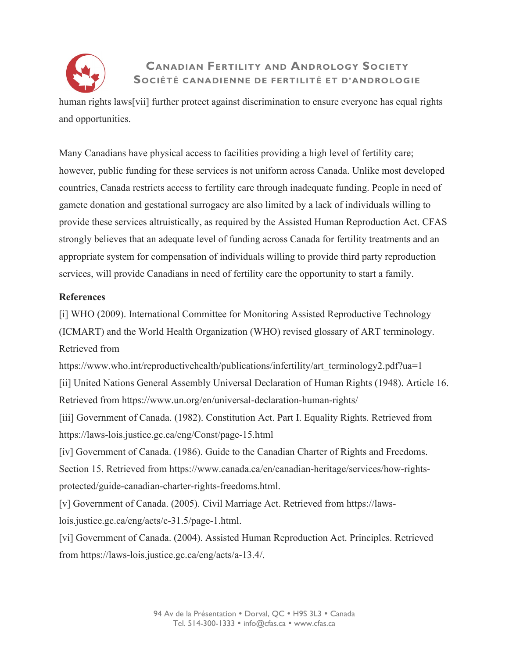

# **CANADIAN FERTILITY AND ANDROLOGY SOCIETY SOCIÉTÉ CANADIENNE DE FERTILITÉ ET D'ANDROLOGIE**

human rights laws[vii] further protect against discrimination to ensure everyone has equal rights and opportunities.

Many Canadians have physical access to facilities providing a high level of fertility care; however, public funding for these services is not uniform across Canada. Unlike most developed countries, Canada restricts access to fertility care through inadequate funding. People in need of gamete donation and gestational surrogacy are also limited by a lack of individuals willing to provide these services altruistically, as required by the Assisted Human Reproduction Act. CFAS strongly believes that an adequate level of funding across Canada for fertility treatments and an appropriate system for compensation of individuals willing to provide third party reproduction services, will provide Canadians in need of fertility care the opportunity to start a family.

#### **References**

[i] WHO (2009). International Committee for Monitoring Assisted Reproductive Technology (ICMART) and the World Health Organization (WHO) revised glossary of ART terminology. Retrieved from

https://www.who.int/reproductivehealth/publications/infertility/art\_terminology2.pdf?ua=1

[ii] United Nations General Assembly Universal Declaration of Human Rights (1948). Article 16. Retrieved from https://www.un.org/en/universal-declaration-human-rights/

[iii] Government of Canada. (1982). Constitution Act. Part I. Equality Rights. Retrieved from https://laws-lois.justice.gc.ca/eng/Const/page-15.html

[iv] Government of Canada. (1986). Guide to the Canadian Charter of Rights and Freedoms. Section 15. Retrieved from https://www.canada.ca/en/canadian-heritage/services/how-rightsprotected/guide-canadian-charter-rights-freedoms.html.

[v] Government of Canada. (2005). Civil Marriage Act. Retrieved from https://lawslois.justice.gc.ca/eng/acts/c-31.5/page-1.html.

[vi] Government of Canada. (2004). Assisted Human Reproduction Act. Principles. Retrieved from https://laws-lois.justice.gc.ca/eng/acts/a-13.4/.